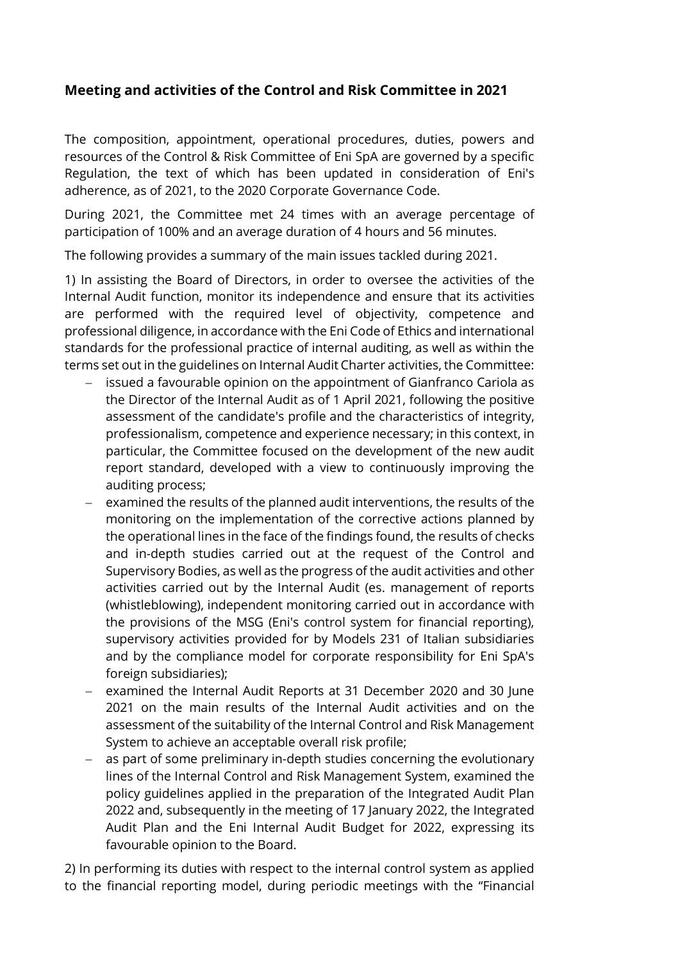## **Meeting and activities of the Control and Risk Committee in 2021**

The composition, appointment, operational procedures, duties, powers and resources of the Control & Risk Committee of Eni SpA are governed by a specific Regulation, the text of which has been updated in consideration of Eni's adherence, as of 2021, to the 2020 Corporate Governance Code.

During 2021, the Committee met 24 times with an average percentage of participation of 100% and an average duration of 4 hours and 56 minutes.

The following provides a summary of the main issues tackled during 2021.

1) In assisting the Board of Directors, in order to oversee the activities of the Internal Audit function, monitor its independence and ensure that its activities are performed with the required level of objectivity, competence and professional diligence, in accordance with the Eni Code of Ethics and international standards for the professional practice of internal auditing, as well as within the terms set out in the guidelines on Internal Audit Charter activities, the Committee:

- issued a favourable opinion on the appointment of Gianfranco Cariola as the Director of the Internal Audit as of 1 April 2021, following the positive assessment of the candidate's profile and the characteristics of integrity, professionalism, competence and experience necessary; in this context, in particular, the Committee focused on the development of the new audit report standard, developed with a view to continuously improving the auditing process;
- − examined the results of the planned audit interventions, the results of the monitoring on the implementation of the corrective actions planned by the operational lines in the face of the findings found, the results of checks and in-depth studies carried out at the request of the Control and Supervisory Bodies, as well as the progress of the audit activities and other activities carried out by the Internal Audit (es. management of reports (whistleblowing), independent monitoring carried out in accordance with the provisions of the MSG (Eni's control system for financial reporting), supervisory activities provided for by Models 231 of Italian subsidiaries and by the compliance model for corporate responsibility for Eni SpA's foreign subsidiaries);
- examined the Internal Audit Reports at 31 December 2020 and 30 June 2021 on the main results of the Internal Audit activities and on the assessment of the suitability of the Internal Control and Risk Management System to achieve an acceptable overall risk profile;
- − as part of some preliminary in-depth studies concerning the evolutionary lines of the Internal Control and Risk Management System, examined the policy guidelines applied in the preparation of the Integrated Audit Plan 2022 and, subsequently in the meeting of 17 January 2022, the Integrated Audit Plan and the Eni Internal Audit Budget for 2022, expressing its favourable opinion to the Board.

2) In performing its duties with respect to the internal control system as applied to the financial reporting model, during periodic meetings with the "Financial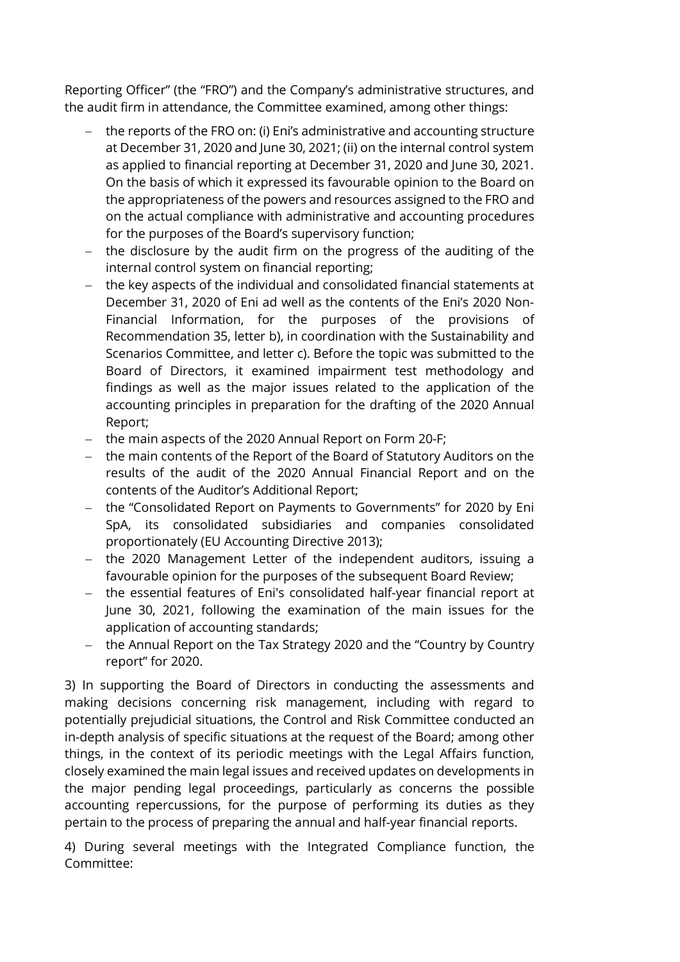Reporting Officer" (the "FRO") and the Company's administrative structures, and the audit firm in attendance, the Committee examined, among other things:

- − the reports of the FRO on: (i) Eni's administrative and accounting structure at December 31, 2020 and June 30, 2021; (ii) on the internal control system as applied to financial reporting at December 31, 2020 and June 30, 2021. On the basis of which it expressed its favourable opinion to the Board on the appropriateness of the powers and resources assigned to the FRO and on the actual compliance with administrative and accounting procedures for the purposes of the Board's supervisory function;
- − the disclosure by the audit firm on the progress of the auditing of the internal control system on financial reporting;
- − the key aspects of the individual and consolidated financial statements at December 31, 2020 of Eni ad well as the contents of the Eni's 2020 Non-Financial Information, for the purposes of the provisions of Recommendation 35, letter b), in coordination with the Sustainability and Scenarios Committee, and letter c). Before the topic was submitted to the Board of Directors, it examined impairment test methodology and findings as well as the major issues related to the application of the accounting principles in preparation for the drafting of the 2020 Annual Report;
- − the main aspects of the 2020 Annual Report on Form 20-F;
- − the main contents of the Report of the Board of Statutory Auditors on the results of the audit of the 2020 Annual Financial Report and on the contents of the Auditor's Additional Report;
- − the "Consolidated Report on Payments to Governments" for 2020 by Eni SpA, its consolidated subsidiaries and companies consolidated proportionately (EU Accounting Directive 2013);
- − the 2020 Management Letter of the independent auditors, issuing a favourable opinion for the purposes of the subsequent Board Review;
- − the essential features of Eni's consolidated half-year financial report at June 30, 2021, following the examination of the main issues for the application of accounting standards;
- − the Annual Report on the Tax Strategy 2020 and the "Country by Country report" for 2020.

3) In supporting the Board of Directors in conducting the assessments and making decisions concerning risk management, including with regard to potentially prejudicial situations, the Control and Risk Committee conducted an in-depth analysis of specific situations at the request of the Board; among other things, in the context of its periodic meetings with the Legal Affairs function, closely examined the main legal issues and received updates on developments in the major pending legal proceedings, particularly as concerns the possible accounting repercussions, for the purpose of performing its duties as they pertain to the process of preparing the annual and half-year financial reports.

4) During several meetings with the Integrated Compliance function, the Committee: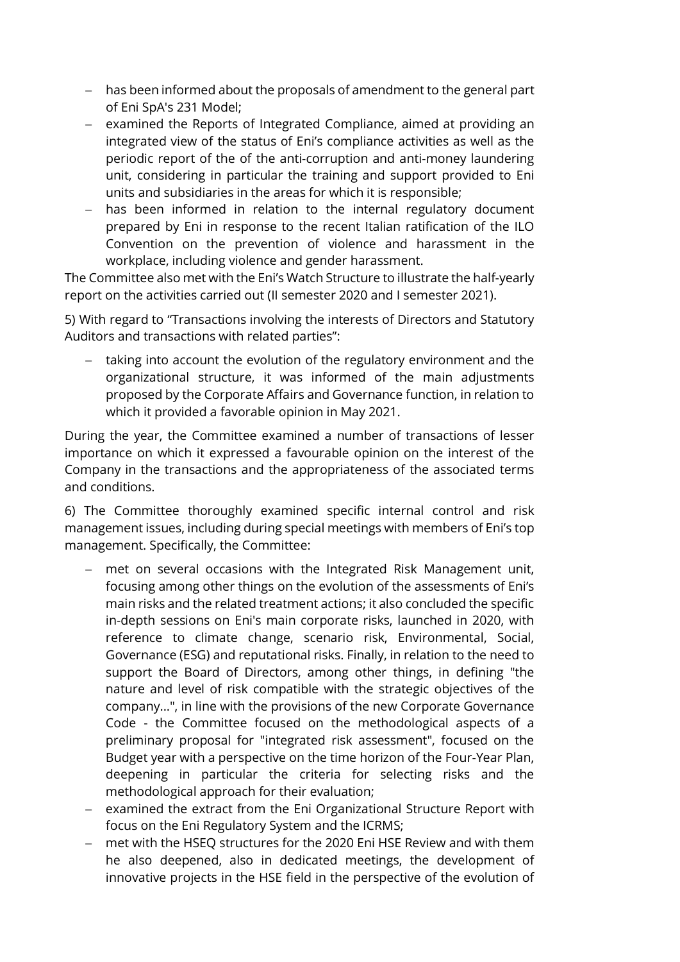- − has been informed about the proposals of amendment to the general part of Eni SpA's 231 Model;
- − examined the Reports of Integrated Compliance, aimed at providing an integrated view of the status of Eni's compliance activities as well as the periodic report of the of the anti-corruption and anti-money laundering unit, considering in particular the training and support provided to Eni units and subsidiaries in the areas for which it is responsible;
- − has been informed in relation to the internal regulatory document prepared by Eni in response to the recent Italian ratification of the ILO Convention on the prevention of violence and harassment in the workplace, including violence and gender harassment.

The Committee also met with the Eni's Watch Structure to illustrate the half-yearly report on the activities carried out (II semester 2020 and I semester 2021).

5) With regard to "Transactions involving the interests of Directors and Statutory Auditors and transactions with related parties":

− taking into account the evolution of the regulatory environment and the organizational structure, it was informed of the main adjustments proposed by the Corporate Affairs and Governance function, in relation to which it provided a favorable opinion in May 2021.

During the year, the Committee examined a number of transactions of lesser importance on which it expressed a favourable opinion on the interest of the Company in the transactions and the appropriateness of the associated terms and conditions.

6) The Committee thoroughly examined specific internal control and risk management issues, including during special meetings with members of Eni's top management. Specifically, the Committee:

- − met on several occasions with the Integrated Risk Management unit, focusing among other things on the evolution of the assessments of Eni's main risks and the related treatment actions; it also concluded the specific in-depth sessions on Eni's main corporate risks, launched in 2020, with reference to climate change, scenario risk, Environmental, Social, Governance (ESG) and reputational risks. Finally, in relation to the need to support the Board of Directors, among other things, in defining "the nature and level of risk compatible with the strategic objectives of the company...", in line with the provisions of the new Corporate Governance Code - the Committee focused on the methodological aspects of a preliminary proposal for "integrated risk assessment", focused on the Budget year with a perspective on the time horizon of the Four-Year Plan, deepening in particular the criteria for selecting risks and the methodological approach for their evaluation;
- − examined the extract from the Eni Organizational Structure Report with focus on the Eni Regulatory System and the ICRMS;
- − met with the HSEQ structures for the 2020 Eni HSE Review and with them he also deepened, also in dedicated meetings, the development of innovative projects in the HSE field in the perspective of the evolution of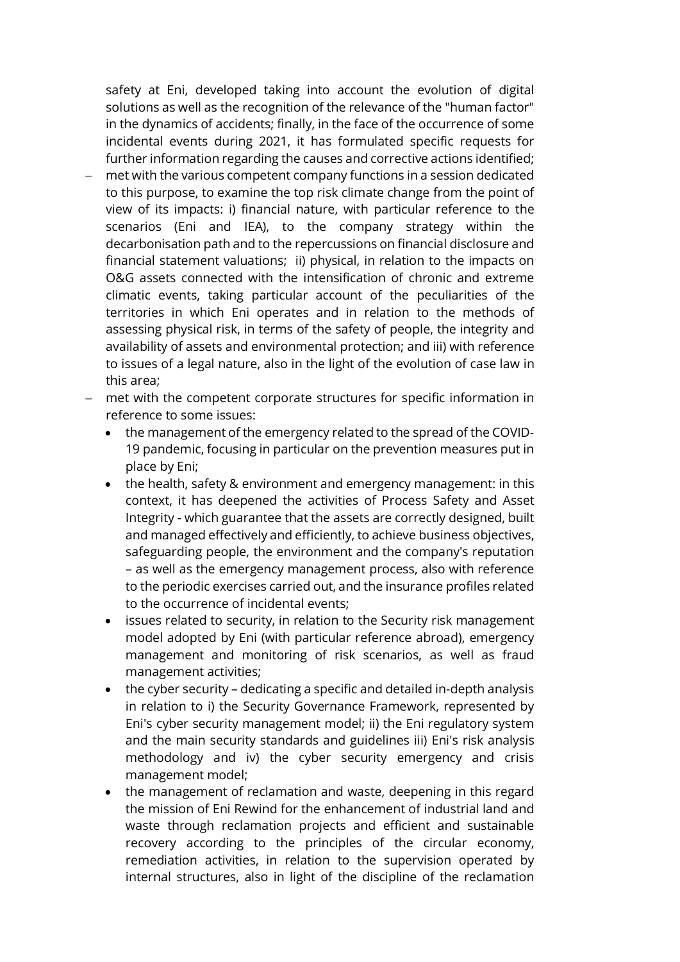safety at Eni, developed taking into account the evolution of digital solutions as well as the recognition of the relevance of the "human factor" in the dynamics of accidents; finally, in the face of the occurrence of some incidental events during 2021, it has formulated specific requests for further information regarding the causes and corrective actions identified;

- met with the various competent company functions in a session dedicated to this purpose, to examine the top risk climate change from the point of view of its impacts: i) financial nature, with particular reference to the scenarios (Eni and IEA), to the company strategy within the decarbonisation path and to the repercussions on financial disclosure and financial statement valuations; ii) physical, in relation to the impacts on O&G assets connected with the intensification of chronic and extreme climatic events, taking particular account of the peculiarities of the territories in which Eni operates and in relation to the methods of assessing physical risk, in terms of the safety of people, the integrity and availability of assets and environmental protection; and iii) with reference to issues of a legal nature, also in the light of the evolution of case law in this area;
- met with the competent corporate structures for specific information in reference to some issues:
	- the management of the emergency related to the spread of the COVID-19 pandemic, focusing in particular on the prevention measures put in place by Eni;
	- the health, safety & environment and emergency management: in this context, it has deepened the activities of Process Safety and Asset Integrity - which guarantee that the assets are correctly designed, built and managed effectively and efficiently, to achieve business objectives, safeguarding people, the environment and the company's reputation – as well as the emergency management process, also with reference to the periodic exercises carried out, and the insurance profiles related to the occurrence of incidental events;
	- issues related to security, in relation to the Security risk management model adopted by Eni (with particular reference abroad), emergency management and monitoring of risk scenarios, as well as fraud management activities;
	- the cyber security dedicating a specific and detailed in-depth analysis in relation to i) the Security Governance Framework, represented by Eni's cyber security management model; ii) the Eni regulatory system and the main security standards and guidelines iii) Eni's risk analysis methodology and iv) the cyber security emergency and crisis management model;
	- the management of reclamation and waste, deepening in this regard the mission of Eni Rewind for the enhancement of industrial land and waste through reclamation projects and efficient and sustainable recovery according to the principles of the circular economy, remediation activities, in relation to the supervision operated by internal structures, also in light of the discipline of the reclamation